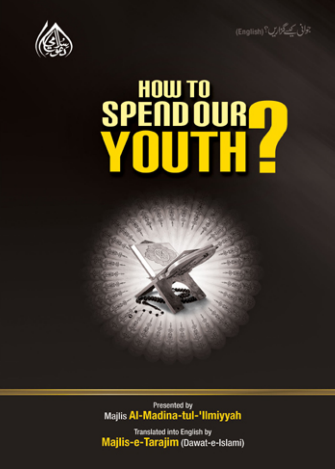



# HOW TO<br>SPEND OUR TI Ш

Presented by Majlis Al-Madina-tul-'Ilmiyyah

Translated into English by Majlis-e-Tarajim (Dawat-e-Islami)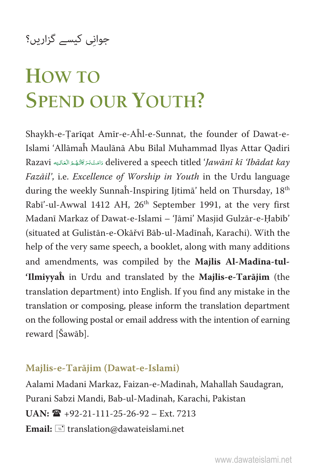# **HOW TO SPEND OUR YOUTH?**

Shaykh-e-Tarīqat Amīr-e-Aĥl-e-Sunnat, the founder of Dawat-e-Islami 'Allāmaĥ Maulānā Abu Bilal Muhammad Ilyas Attar Qadiri Razavi دَامَتْ بَرَ كَاتُهْمُ الْعَالِيَه Razavi دَامَتْ بِمَتَاتِهُمْ الْعَالِيَّة Razavi Ä Fazāil', i.e. Excellence of Worship in Youth in the Urdu language during the weekly Sunnaĥ-Inspiring Ijtimā' held on Thursday, 18th Rabī'-ul-Awwal 1412 AH, 26<sup>th</sup> September 1991, at the very first Madanī Markaz of Dawat-e-Islami - 'Jāmi' Masjid Gulzār-e-Habīb' (situated at Gulistān-e-Okāřvī Bāb-ul-Madīnaĥ, Karachi). With the help of the very same speech, a booklet, along with many additions and amendments, was compiled by the **Majlis Al-Madīna-tul- 'Ilmiyyaĥ** in Urdu and translated by the **Majlis-e-Tarājim** (the translation department) into English. If you find any mistake in the translation or composing, please inform the translation department on the following postal or email address with the intention of earning reward [Šawāb].

#### **Majlis-e-Tarājim (Dawat-e-Islami)**

Aalami Madani Markaz, Faizan-e-Madinah, Mahallah Saudagran, Purani Sabzi Mandi, Bab-ul-Madinah, Karachi, Pakistan  $UAN: \mathbf{R}$  +92-21-111-25-26-92 – Ext. 7213 Email:  $\equiv$  translation@dawateislami.net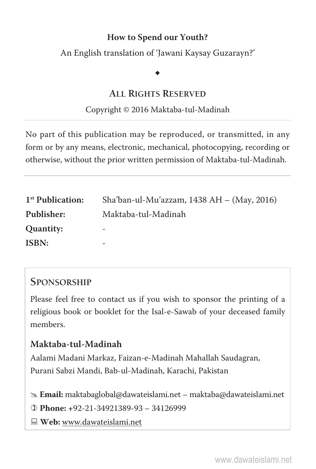An English translation of 'Jawani Kaysay Guzarayn?'

### $\ddot{\phantom{0}}$

#### **ALL RIGHTS RESERVED**

#### Copyright © 2016 Maktaba-tul-Madinah

No part of this publication may be reproduced, or transmitted, in any form or by any means, electronic, mechanical, photocopying, recording or otherwise, without the prior written permission of Maktaba-tul-Madinah.

| 1 <sup>st</sup> Publication: | Sha'ban-ul-Mu'azzam, 1438 AH $-$ (May, 2016) |
|------------------------------|----------------------------------------------|
| Publisher:                   | Maktaba-tul-Madinah                          |
| Quantity:                    | -                                            |
| ISBN:                        | $\overline{\phantom{a}}$                     |

#### **SPONSORSHIP**

Please feel free to contact us if you wish to sponsor the printing of a religious book or booklet for the Isal-e-Sawab of your deceased family members.

#### **Maktaba-tul-Madinah**

Aalami Madani Markaz, Faizan-e-Madinah Mahallah Saudagran, Purani Sabzi Mandi, Bab-ul-Madinah, Karachi, Pakistan

# **Email:** maktabaglobal@dawateislami.net – maktaba@dawateislami.net

  **Phone: +**92-21-34921389-93 – 34126999

**Web:** www.dawateislami.net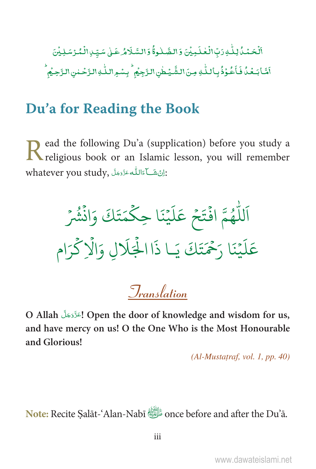ٱلۡحَمۡدُۢلِلَّـٰهِ رَبِّ الۡعَلَـٰٓبِيۡنَ وَالصَّـٰلُوةُۚ وَالسَّـلَامُ عَـٰلِ سَيِّـٰ الۡمُّرۡسَلِيۡنَ .<br>أَمَّا بَعۡدُٰ فَأَعُوۡذُٰ بِٱللَّٰهِ مِنَ الشَّيۡطُنِ النَّجِيۡمِ ۚ بِسۡمِ اللّٰهِ النَّحۡلِنِ النَّحِيۡمُ

### Du'a for Reading the Book

ead the following Du'a (supplication) before you study a Read the following  $2 - 3$  and the religious book or an Islamic lesson, you will remember whatever you study, اِنْ شَكْ اللَّهُ عَزَّدَ الْمَرْيَانِيِّ مِنْ

اَللَّهُمَّ افْتَحْ عَلَيْنَا حِكْمَتَكَ وَانْشُرْ عَلَيْنَا رَحْمَتَكَ يَـا ذَاالْجَلَالِ وَالْإِكْرَام

**Translation** 

O Allah <br/> ! اعَزَّوَجَلَ Open the door of knowledge and wisdom for us, and have mercy on us! O the One Who is the Most Honourable and Glorious!

 $(Al-Mustatraf, vol. 1, pp. 40)$ 

Note: Recite Salāt-'Alan-Nabī the Du'a.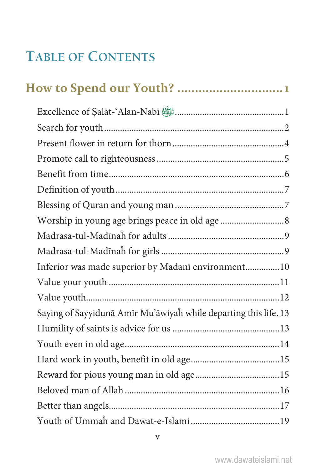### **TABLE OF CONTENTS**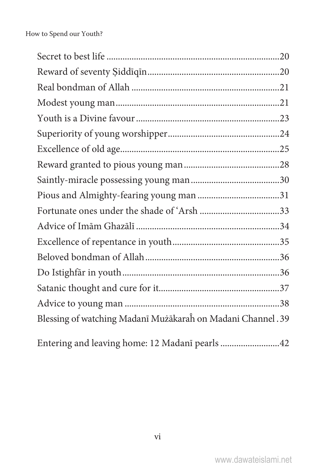| Blessing of watching Madanī Mużākarah on Madani Channel. 39 |  |
|-------------------------------------------------------------|--|
|                                                             |  |

|  |  | Entering and leaving home: 12 Madanī pearls 42 |  |
|--|--|------------------------------------------------|--|
|--|--|------------------------------------------------|--|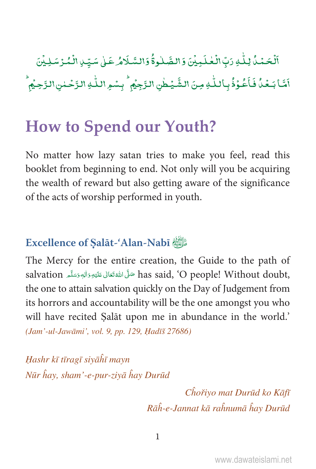Â ٱلْۡحَمۡدُۢ لِلَّٰٓ وَرَبِّ الۡعَٰلَـٰٓمِیۡنَ وَالصَّـٰلُوةُۚ وَالسَّـلَامُ عَـٰىٰ سَیِّـٰ ِالۡمُرۡسَـٰلِیۡنَ Ä Ð Á Ä Ð .<br>أَمَّا بَـعُدُّ فَاَعُوْذُ بِاللّٰهِ مِنَ الشَّيُطٰنِ الرَّجِيُمِ ۙ بِسْمِ اللّٰهِ الرَّحْمٰنِ الرَّحِيُمِ Ä Á Ì Á Ð Á Ì Ð

### How to Spend our Youth?

No matter how lazy satan tries to make you feel, read this booklet from beginning to end. Not only will you be acquiring the wealth of reward but also getting aware of the significance of the acts of worship performed in youth.

#### **Excellence of** ৡ**alāt-'Alan-Nabī** ȯ

The Mercy for the entire creation, the Guide to the path of salvation حَلَّى اللَّهُ تَعَالَى عَلَيْهِ وَاللهِ وَسَلَّمَ salvation وَاللهَ مَسَلَّمَ Ç Ä È ȦÄ Ä Å the one to attain salvation quickly on the Day of Judgement from its horrors and accountability will be the one amongst you who will have recited ৡalāt upon me in abundance in the world.' (Jam'-ul-Jawāmi', vol. 9, pp. 129, Hadīš 27686)

Hashr kī tīragī siyāhī mayn Nūr ĥay, sham'-e-pur-zivā ĥay Durūd

> Chořiyo mat Durūd ko Kāfī Rāĥ-e-Jannat kā raĥnumā ĥav Durūd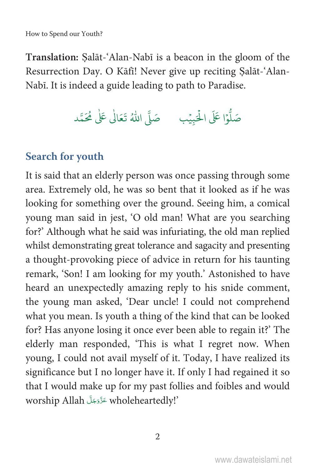**Translation:** ৡalāt-'Alan-Nabī is a beacon in the gloom of the Resurrection Day. O Kāfī! Never give up reciting ৡalāt-'Alan-Nabī. It is indeed a guide leading to path to Paradise.

> h û صَلُّوْا عَلَى الْحَبِيْبِ ۚ صَلَّى اللهُ تَعَالٰى عَلٰى مُحَمَّد Ġ û h

#### **Search for youth**

It is said that an elderly person was once passing through some area. Extremely old, he was so bent that it looked as if he was looking for something over the ground. Seeing him, a comical young man said in jest, 'O old man! What are you searching for?' Although what he said was infuriating, the old man replied whilst demonstrating great tolerance and sagacity and presenting a thought-provoking piece of advice in return for his taunting remark, 'Son! I am looking for my youth.' Astonished to have heard an unexpectedly amazing reply to his snide comment, the young man asked, 'Dear uncle! I could not comprehend what you mean. Is youth a thing of the kind that can be looked for? Has anyone losing it once ever been able to regain it?' The elderly man responded, 'This is what I regret now. When young, I could not avail myself of it. Today, I have realized its significance but I no longer have it. If only I had regained it so that I would make up for my past follies and foibles and would worship Allah حَرَّدَجَلَّ wholeheartedly!'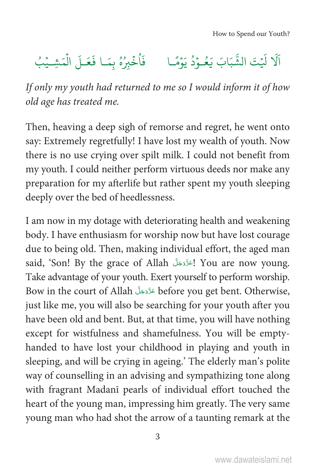# اَلَا لَيْتَ الشَّبَابَ يَعُـوْدُ يَوْمًـا فَأُخْبِرُهُ بِمَـا فَعَـلَ الْمَشِـيْبُ

If only my youth had returned to me so I would inform it of how old age has treated me.

Then, heaving a deep sigh of remorse and regret, he went onto say: Extremely regretfully! I have lost my wealth of youth. Now there is no use crying over spilt milk. I could not benefit from my youth. I could neither perform virtuous deeds nor make any preparation for my afterlife but rather spent my youth sleeping deeply over the bed of heedlessness.

I am now in my dotage with deteriorating health and weakening body. I have enthusiasm for worship now but have lost courage due to being old. Then, making individual effort, the aged man said, 'Son! By the grace of Allah إِعَرَّوَجَلَّ You are now young. Take advantage of your youth. Exert yourself to perform worship. Bow in the court of Allah عَزَّدَجَلَّ before you get bent. Otherwise, just like me, you will also be searching for your youth after you have been old and bent. But, at that time, you will have nothing except for wistfulness and shamefulness. You will be emptyhanded to have lost your childhood in playing and youth in sleeping, and will be crying in ageing.' The elderly man's polite way of counselling in an advising and sympathizing tone along with fragrant Madanī pearls of individual effort touched the heart of the young man, impressing him greatly. The very same young man who had shot the arrow of a taunting remark at the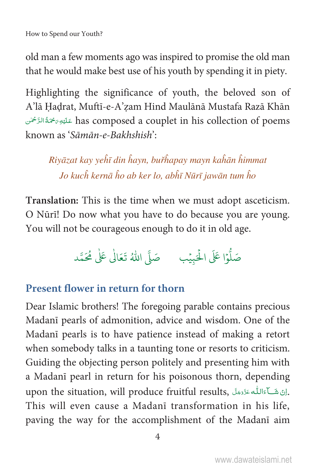old man a few moments ago was inspired to promise the old man that he would make best use of his youth by spending it in piety.

Highlighting the significance of youth, the beloved son of A'lā Hadrat, Muftī-e-A'zam Hind Maulānā Mustafa Razā Khān has composed a couplet in his collection of poems عَلَيْهِ رَجْمَةُ الزَّحْمَلِّ known as 'Sāmān-e-Bakhshish':

Riyāzat kay yehī din hayn, buřhapay mayn kahān himmat Jo kuch kernā ho ab ker lo, abhī Nūrī jawān tum ho

Translation: This is the time when we must adopt asceticism. O Nūrī! Do now what you have to do because you are young. You will not be courageous enough to do it in old age.

### صَلُّوْا عَلَى الْحَبِيْبِ مَ صَلَّى اللَّهُ تَعَالٰى عَلٰى مُحَمَّد

#### Present flower in return for thorn

Dear Islamic brothers! The foregoing parable contains precious Madanī pearls of admonition, advice and wisdom. One of the Madani pearls is to have patience instead of making a retort when somebody talks in a taunting tone or resorts to criticism. Guiding the objecting person politely and presenting him with a Madanī pearl in return for his poisonous thorn, depending upon the situation, will produce fruitful results, إِنَّ شَبَاءَاللَّهُ عَزَّدَجَلًا. This will even cause a Madani transformation in his life. paving the way for the accomplishment of the Madani aim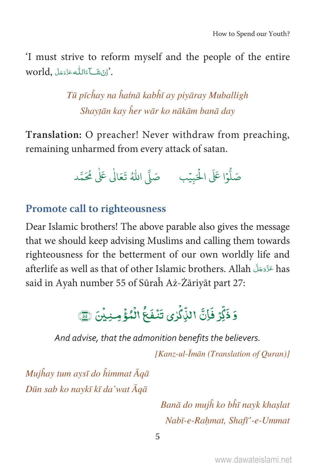I must strive to reform myself and the people of the entire world, إِنْ شَبَاءَاللَّهِ عَزَّدَجَلَّ

> Tū pīchay na hatnā kabhī ay piyāray Muballigh Shaytān kay her wār ko nākām banā day

Translation: O preacher! Never withdraw from preaching, remaining unharmed from every attack of satan.



#### **Promote call to righteousness**

Dear Islamic brothers! The above parable also gives the message that we should keep advising Muslims and calling them towards righteousness for the betterment of our own worldly life and afterlife as well as that of other Islamic brothers. Allah طَرَّدَجَلَّ has said in Ayah number 55 of Sūrah Aż-Żāriyāt part 27:

# وَ ذَكَّةٍ فَإِنَّ الذِّكَّاءِ، تَنْفَعُ الْمُؤُمِّنِينَ هَيْ هَذَا لَهُمَّ

And advise, that the admonition benefits the believers.

[Kanz-ul-Īmān (Translation of Quran)]

Mujhay tum aysī do himmat  $\bar{A}q\bar{a}$ Dūn sab ko naykī kī da'wat Āgā

> Banā do mujĥ ko bĥī nayk khaslat Nabī-e-Rahmat, Shafī'-e-Ummat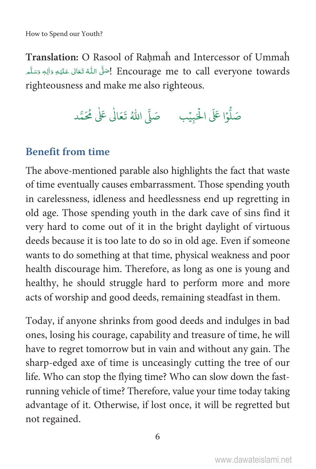Translation: O Rasool of Rahmah and Intercessor of Ummah Encourage me to call everyone towards إِصَلَّ اللَّهُ تَعَالَى عَلَيْهِ وَالِهِ وَسَلَّم righteousness and make me also righteous.

صَلُّوْا عَلَى الْحَبِيْبِ مَ صَلَّى اللَّهُ تَعَالَٰى عَلَٰى مُحَمَّد

#### **Benefit from time**

The above-mentioned parable also highlights the fact that waste of time eventually causes embarrassment. Those spending youth in carelessness, idleness and heedlessness end up regretting in old age. Those spending youth in the dark cave of sins find it very hard to come out of it in the bright daylight of virtuous deeds because it is too late to do so in old age. Even if someone wants to do something at that time, physical weakness and poor health discourage him. Therefore, as long as one is young and healthy, he should struggle hard to perform more and more acts of worship and good deeds, remaining steadfast in them.

Today, if anyone shrinks from good deeds and indulges in bad ones, losing his courage, capability and treasure of time, he will have to regret tomorrow but in vain and without any gain. The sharp-edged axe of time is unceasingly cutting the tree of our life. Who can stop the flying time? Who can slow down the fastrunning vehicle of time? Therefore, value your time today taking advantage of it. Otherwise, if lost once, it will be regretted but not regained.

6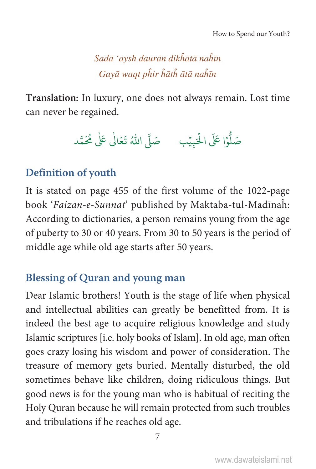Sadā 'aysh daurān dikhātā nahīn Gayā waat phir hāth ātā nahīn

**Translation:** In luxury, one does not always remain. Lost time can never be regained.

> h û صَلُّوْا عَلَى الْحَبِيْبِ ۚ صَلَّى اللهُ تَعَالَٰى عَلٰى مُحَمَّد Ġ û h

#### **Definition of youth**

It is stated on page 455 of the first volume of the 1022-page book 'Faizān-e-Sunnat' published by Maktaba-tul-Madīnaĥ: According to dictionaries, a person remains young from the age of puberty to 30 or 40 years. From 30 to 50 years is the period of middle age while old age starts after 50 years.

#### **Blessing of Quran and young man**

Dear Islamic brothers! Youth is the stage of life when physical and intellectual abilities can greatly be benefitted from. It is indeed the best age to acquire religious knowledge and study Islamic scriptures [i.e. holy books of Islam]. In old age, man often goes crazy losing his wisdom and power of consideration. The treasure of memory gets buried. Mentally disturbed, the old sometimes behave like children, doing ridiculous things. But good news is for the young man who is habitual of reciting the Holy Quran because he will remain protected from such troubles and tribulations if he reaches old age.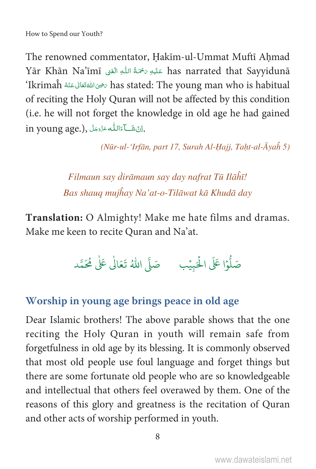The renowned commentator, Hakim-ul-Ummat Mufti Ahmad Yār Khān Na'īmī عَلَيْهِ رَحْمَةُ اللَّهِ الْغَفِي Nas narrated that Sayvidunā `Ikrimaĥ رَضِىَ اللهُ تَعَالَى عَنْهُ has stated: The young man who is habitual of reciting the Holy Quran will not be affected by this condition (i.e. he will not forget the knowledge in old age he had gained in young age.), اِنَّ شَبَّاءَ اللَّهُ عَزَّدَ بَلَّ

(Nūr-ul-'Irfān, part 17, Surah Al-Hajj, Taḥt-al-Āyah 5)

Filmaun say dirāmaun say day nafrat Tū Ilāĥī! Bas shauq mujĥay Na'at-o-Tilāwat kā Khudā day

Translation: O Almighty! Make me hate films and dramas. Make me keen to recite Quran and Na'at.

صَلُّوْا عَلَى الْحَبِيْبِ مَ صَلَّى اللَّهُ تَعَالٰى عَلٰى مُحَمَّد

#### Worship in young age brings peace in old age

Dear Islamic brothers! The above parable shows that the one reciting the Holy Quran in youth will remain safe from forgetfulness in old age by its blessing. It is commonly observed that most old people use foul language and forget things but there are some fortunate old people who are so knowledgeable and intellectual that others feel overawed by them. One of the reasons of this glory and greatness is the recitation of Quran and other acts of worship performed in youth.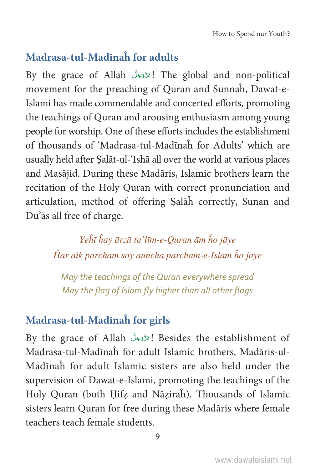#### **Madrasa-tul-Madīnaĥ for adults**

By the grace of Allah التَّزَدَجَلَّ The global and non-political movement for the preaching of Quran and Sunnaĥ, Dawat-e-Islami has made commendable and concerted efforts, promoting the teachings of Quran and arousing enthusiasm among young people for worship. One of these efforts includes the establishment of thousands of 'Madrasa-tul-Madīnaĥ for Adults' which are usually held after ৡalāt-ul-'Ishā all over the world at various places and Masājid. During these Madāris, Islamic brothers learn the recitation of the Holy Quran with correct pronunciation and articulation, method of offering ৡalāĥ correctly, Sunan and Du'ās all free of charge.

> Yehī hay ārzū ta'līm-e-Quran ām ho jāye Ĥar aik parcham say aūnchā parcham-e-Islam ĥo jāye

May the teachings of the Quran everywhere spread May the flag of Islam fly higher than all other flags

#### **Madrasa-tul-Madīnaĥ for girls**

By the grace of Allah جَدَّدَجَلَ Besides the establishment of Madrasa-tul-Madīnaĥ for adult Islamic brothers, Madāris-ul-Madīnaĥ for adult Islamic sisters are also held under the supervision of Dawat-e-Islami, promoting the teachings of the Holy Quran (both Hifz and Nāziraĥ). Thousands of Islamic sisters learn Quran for free during these Madāris where female teachers teach female students.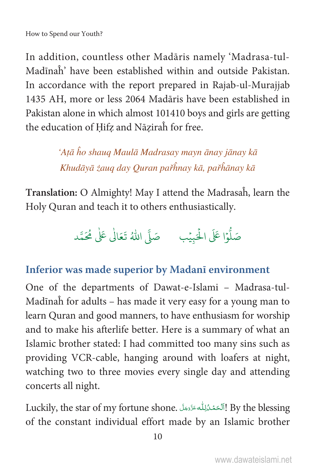In addition, countless other Madaris namely 'Madrasa-tul-Madinah' have been established within and outside Pakistan In accordance with the report prepared in Rajab-ul-Murajjab 1435 AH, more or less 2064 Madāris have been established in Pakistan alone in which almost 101410 boys and girls are getting the education of Hifz and Nāzirah for free.

> 'Aṭā ĥo shauq Maulā Madrasay mayn ānay jānay kā Khudāyā żaug day Quran pařĥnay kā, pařĥānay kā

Translation: O Almighty! May I attend the Madrasah, learn the Holy Quran and teach it to others enthusiastically.

صَلُّوْا عَلَى الْحَبِيْبِ صَلَّى اللَّهُ تَعَالَى عَلَى مُحَمَّد

#### Inferior was made superior by Madani environment

One of the departments of Dawat-e-Islami - Madrasa-tul-Madīnah for adults - has made it very easy for a young man to learn Ouran and good manners, to have enthusiasm for worship and to make his afterlife better. Here is a summary of what an Islamic brother stated: I had committed too many sins such as providing VCR-cable, hanging around with loafers at night, watching two to three movies every single day and attending concerts all night.

Luckily, the star of my fortune shone. اَلْحَمْنُوْلِلُه عَزَّدَ اِللَّهُ الْكَلِمُ عَزَّدَ الْكَلَّاء of the constant individual effort made by an Islamic brother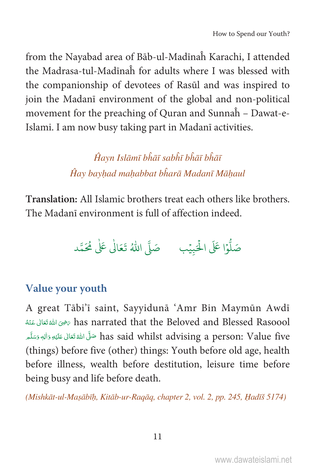from the Nayabad area of Bāb-ul-Madīnah Karachi, I attended the Madrasa-tul-Madinah for adults where I was blessed with the companionship of devotees of Rasūl and was inspired to join the Madani environment of the global and non-political movement for the preaching of Quran and Sunnah - Dawat-e-Islami. I am now busy taking part in Madani activities.

> Ĥayn Islāmī bhāī sabhī bhāī bhāī Ĥay bayhad mahabbat bharā Madanī Māhaul

Translation: All Islamic brothers treat each others like brothers. The Madani environment is full of affection indeed.



#### Value your youth

A great Tābi'ī saint, Sayyidunā 'Amr Bin Maymūn Awdī has narrated that the Beloved and Blessed Rasoool يخوى الله تَعَالى عَنْهُ has said whilst advising a person: Value five صَلَّى اللهُ تَعَالَى عَلَيْهِ وَالِهٖ وَسَلَّم (things) before five (other) things: Youth before old age, health before illness, wealth before destitution, leisure time before being busy and life before death.

(Mishkāt-ul-Masābīh, Kitāb-ur-Ragāg, chapter 2, vol. 2, pp. 245, Hadīš 5174)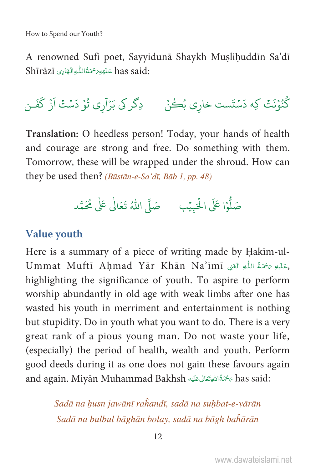A renowned Sufi poet, Sayyidunā Shaykh Muslihuddīn Sa'dī Shīrāzī عَلَيْهِ  $\tilde{\tau}$ ةُاللُّهِ الْهَادِى Shīrāzī

كُنُوۡنَتۡ كِه دَسۡتَست خاري بُكُنۡ ۚ ۚ دِكَر كِي بَرۡآرِي تُوۡ دَسۡتُ اَزۡ كَفَـن

Translation: O heedless person! Today, your hands of health and courage are strong and free. Do something with them. Tomorrow, these will be wrapped under the shroud. How can they be used then? (Būstān-e-Sa'dī, Bāb 1, pp. 48)



#### **Value vouth**

Here is a summary of a piece of writing made by Hakim-ul-Ummat Muftī Ahmad Yār Khān Na'īmī رَعَلَيْهِ رَحْمَةُ اللَّهِ الْغَيْ highlighting the significance of youth. To aspire to perform worship abundantly in old age with weak limbs after one has wasted his youth in merriment and entertainment is nothing but stupidity. Do in youth what you want to do. There is a very great rank of a pious young man. Do not waste your life, (especially) the period of health, wealth and youth. Perform good deeds during it as one does not gain these favours again and again. Miyān Muhammad Bakhsh رَحْمَةُ اللَّهِ تَعَالَى عَلَيْهِ has said:

> Sadā na husn jawānī rahandī, sadā na suhbat-e-vārān Sadā na bulbul bāghān bolay, sadā na bāgh bahārān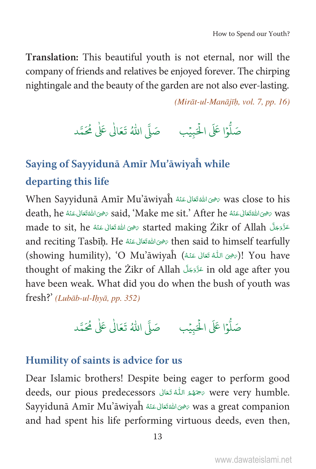Translation: This beautiful youth is not eternal, nor will the company of friends and relatives be enjoyed forever. The chirping nightingale and the beauty of the garden are not also ever-lasting.

(Mirāt-ul-Manājīh, vol. 7, pp. 16)



### Saying of Sayyidunā Amīr Mu'āwiyah while departing this life

When Sayyidunā Amīr Mu'āwiyaĥ حَيْنَهُ اللهُ تَعَالى عَنْهُ was close to his death, he تَخْرَى اللَّهُ تَعَالَى عَنْهُ said, 'Make me sit.' After he تَخْرَى اللَّهُ تَعَالَى عَنْهُ death, made to sit, he حَرَّدَ عَلَّ started making Zikr of Allah وَضِيَ اللهُ تَعَالَى عَنْهُ made to sit, he and reciting Tasbih. He رَضِى اللهُ تَعَالَى عَنْهُ then said to himself tearfully (showing humility), 'O Mu'āwiyaĥ (رَضِىَ اللَّهُ تَعَالَى عَنْهُ) [ You have thought of making the Zikr of Allah فَرَّدَهَلَ in old age after you have been weak. What did you do when the bush of youth was fresh?' (Lubāb-ul-Ihyā, pp. 352)

## 

#### Humility of saints is advice for us

Dear Islamic brothers! Despite being eager to perform good deeds, our pious predecessors مَحْمَدُ اللَّهُ تَعَالَى are very humble. Sayyidunā Amīr Mu'āwiyah رَضِى اللهُ عَنْهُ Sayyidunā Amīr Mu'āwiyah and had spent his life performing virtuous deeds, even then,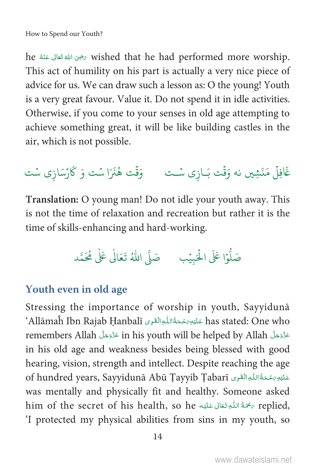he أَرْضِى اللهُ تَعَالَى عَنْهُ he wished that he had performed more worship. This act of humility on his part is actually a very nice piece of advice for us. We can draw such a lesson as: O the young! Youth is a very great favour. Value it. Do not spend it in idle activities. Otherwise, if you come to your senses in old age attempting to achieve something great, it will be like building castles in the air, which is not possible.

غَافِلْ مَنَشِين نه وَقْت بَـازِي سُـت وَقْت هُنَرَا سُت وَ كَارْسَازِي سُت

Translation: O young man! Do not idle your youth away. This is not the time of relaxation and recreation but rather it is the time of skills-enhancing and hard-working.

#### Youth even in old age

Stressing the importance of worship in youth, Sayyiduna `Allāmaĥ Ibn Rajab Ḥanbalī عَلَيْهِ مَحْمَةُاللّٰهِ الْقَرِى Allāmaĥ Ibn Rajab Ḥanbalī remembers Allah عَزَّدَجَلَّ in his youth will be helped by Allah in his old age and weakness besides being blessed with good hearing, vision, strength and intellect. Despite reaching the age of hundred years, Sayyidunā Abū Tayyib Tabarī عَلَيْهِ رَحْمَةُ اللَّهِ الْقَوِى gr was mentally and physically fit and healthy. Someone asked him of the secret of his health, so he مُحَمَّةُ اللَّهِ تَعَالَى عَلَيْهِ him of the secret of his health, so 'I protected my physical abilities from sins in my youth, so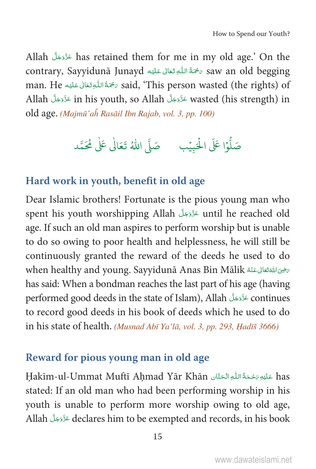Allah مَرَّدَة has retained them for me in my old age.' On the contrary, Sayyidunā Junayd رَحْمَةُ اللَّهِ تَعَالَى عَلَيْهِ Contrary, Sayyidunā Junayd man. He رَحْمَةُ اللَّهِ تَعَالَى عَلَيْه man. He تَحْمَدُ اللَّهِ تَعَالَى عَلَيْه عَلَيْه aid, 'This person wasted (the rights) of Allah عَزَّدَجَلَّ in his youth, so Allah عَزَّدَجَلَّ wasted (his strength) in old age. (Majmū'aĥ Rasāil Ibn Rajab, vol. 3, pp. 100)



#### Hard work in youth, benefit in old age

Dear Islamic brothers! Fortunate is the pious young man who spent his youth worshipping Allah عَزَّدَجَلَّ until he reached old age. If such an old man aspires to perform worship but is unable to do so owing to poor health and helplessness, he will still be continuously granted the reward of the deeds he used to do when healthy and young. Sayyidunā Anas Bin Mālik (تَحَالِ عَنْهُ men healthy and young. Sayyidunā Anas Bin Mālik has said: When a bondman reaches the last part of his age (having performed good deeds in the state of Islam), Allah حَزَّدَجَلَّ continues to record good deeds in his book of deeds which he used to do in his state of health. (Musnad Abī Ya'lā, vol. 3, pp. 293, Hadīš 3666)

#### Reward for pious young man in old age

Hakīm-ul-Ummat Muftī Ahmad Yār Khān عَلَيْهِ رَحْمَةُ اللَّهِ الْحَتَّانِ Hakīm-ul-Ummat Muftī Ahmad Yār Khān stated: If an old man who had been performing worship in his youth is unable to perform more worship owing to old age, Allah عَزَّدَجَلَّ declares him to be exempted and records, in his book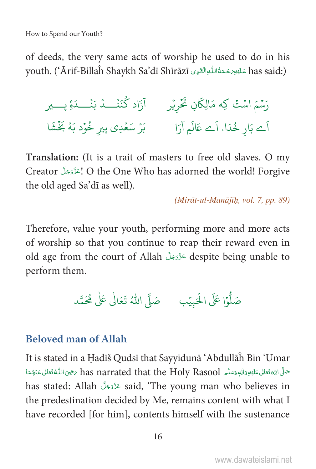of deeds, the very same acts of worship he used to do in his youth. ('Ārif-Billaĥ Shaykh Sa'dī Shīrāzī عَلَيْهِ رَحْمَةُ اللّٰهِ الْقَوِى youth. ('Ārif-Billaĥ Shaykh Sa'dī Shīrāzī

رَسْمَ اسْتْ كِه مَالِكَانِ تَحْرِيْرِ ﴾ آزَاد كُنَنْـــدُ بَنْـــدَةِ پــــير اَے بَارِ خُدَا، اَے عَالَمِ آرَا ہے۔ بَرْ سَعْدِي پیر خُوْد بَهُ بَخْشَا

Translation: (It is a trait of masters to free old slaves. O my Creator الحَزَّوَجَلَّ O the One Who has adorned the world! Forgive the old aged Sa'dī as well).

(Mirāt-ul-Manājīh, vol. 7, pp. 89)

Therefore, value your youth, performing more and more acts of worship so that you continue to reap their reward even in old age from the court of Allah عَزَّدَ alespite being unable to perform them.

صَلُّوْا عَلَى الْحَبِيْبِ مَصَلَّى اللَّهُ تَعَالٰى عَلٰى مُحَمَّد

#### **Beloved man of Allah**

It is stated in a Hadīš Qudsī that Sayyidunā 'Abdullāĥ Bin 'Umar صَلَّى اللَّهُ تَعَالَى عَلَيْهِ وَالِهِ وَسَلَّم has narrated that the Holy Rasool مَضِيَ اللَّهُ تَعَالَى عَنْهُمَا has stated: Allah الَّذَوَجَلَّ said, 'The young man who believes in the predestination decided by Me, remains content with what I have recorded [for him], contents himself with the sustenance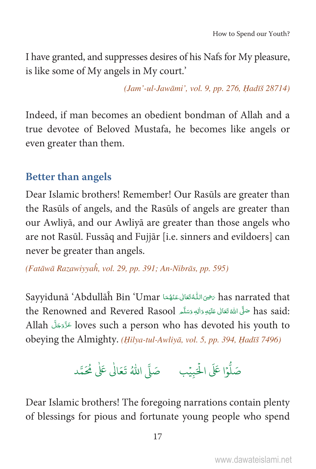I have granted, and suppresses desires of his Nafs for My pleasure, is like some of My angels in My court.'

(Jam'-ul-Jawāmi', vol. 9, pp. 276, Hadīš 28714)

Indeed, if man becomes an obedient bondman of Allah and a true devotee of Beloved Mustafa, he becomes like angels or even greater than them.

#### **Better than angels**

Dear Islamic brothers! Remember! Our Rasūls are greater than the Rasuls of angels, and the Rasuls of angels are greater than our Awliyā, and our Awliyā are greater than those angels who are not Rasūl. Fussāq and Fujjār [i.e. sinners and evildoers] can never be greater than angels.

(Fatāwā Razawiyyah, vol. 29, pp. 391; An-Nibrās, pp. 595)

Sayvidunā 'Abdullāĥ Bin 'Umar حَيْنَ اللُّهُ تَعَالَى عَنْهُمَا Sayvidunā 'Abdullāĥ Bin 'Umar thas said: صَلَّى اللَّهُ تَعَالَى عَلَيْهِ وَالِهِ وَسَلَّمِ the Renowned and Revered Rasool Allah المَدَّرَوَجَلَّ loves such a person who has devoted his youth to obeying the Almighty. (Hilya-tul-Awliyā, vol. 5, pp. 394, Hadīš 7496)

صَلُّوۡا عَلَى الْحَبِيۡبِ ۚ صَلَّى اللّٰهُ تَعَالٰى عَلٰى مُحَمَّد

Dear Islamic brothers! The foregoing narrations contain plenty of blessings for pious and fortunate young people who spend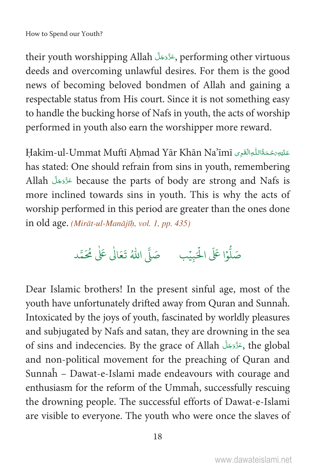their youth worshipping Allah , عَزَّدَجَلَّ performing other virtuous deeds and overcoming unlawful desires. For them is the good news of becoming beloved bondmen of Allah and gaining a respectable status from His court. Since it is not something easy to handle the bucking horse of Nafs in youth, the acts of worship performed in youth also earn the worshipper more reward.

Hakīm-ul-Ummat Muftī Ahmad Yār Khān Na'īmī has stated: One should refrain from sins in youth, remembering Allah أَذَوَجَلَ because the parts of body are strong and Nafs is more inclined towards sins in youth. This is why the acts of worship performed in this period are greater than the ones done in old age. (Mirāt-ul-Manājīḥ, vol. 1, pp. 435)

Dear Islamic brothers! In the present sinful age, most of the youth have unfortunately drifted away from Quran and Sunnah. Intoxicated by the joys of youth, fascinated by worldly pleasures and subjugated by Nafs and satan, they are drowning in the sea of sins and indecencies. By the grace of Allah وَأَدْجَلَ the global and non-political movement for the preaching of Quran and Sunnah - Dawat-e-Islami made endeavours with courage and enthusiasm for the reform of the Ummah, successfully rescuing the drowning people. The successful efforts of Dawat-e-Islami are visible to everyone. The youth who were once the slaves of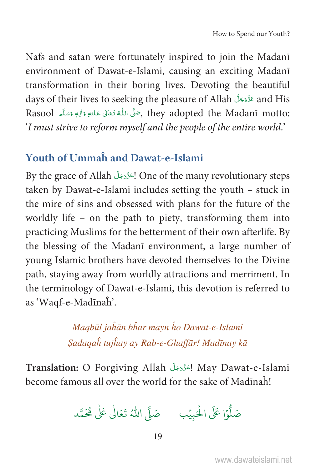Nafs and satan were fortunately inspired to join the Madani environment of Dawat-e-Islami, causing an exciting Madani transformation in their boring lives. Devoting the beautiful days of their lives to seeking the pleasure of Allah عَزَّدَجَلَّ and His Rasool , وَصَلَّى اللَّهُ تَعَالَى عَلَيْهِ وَالِهٖ وَسَلَّم Rasool وَاللَّهِ وَاللَّهِ وَسَلَّمَ 'I must strive to reform myself and the people of the entire world.'

#### **Youth of Ummah and Dawat-e-Islami**

By the grace of Allah الحَزَّدَجَلَّ One of the many revolutionary steps taken by Dawat-e-Islami includes setting the youth – stuck in the mire of sins and obsessed with plans for the future of the worldly life - on the path to piety, transforming them into practicing Muslims for the betterment of their own afterlife. By the blessing of the Madani environment, a large number of young Islamic brothers have devoted themselves to the Divine path, staying away from worldly attractions and merriment. In the terminology of Dawat-e-Islami, this devotion is referred to as 'Waqf-e-Madīnaĥ'.

> Magbūl jaĥān bĥar mayn ĥo Dawat-e-Islami Sadaqah tujhay ay Rab-e-Ghaffār! Madīnay kā

Translation: O Forgiving Allah إعَزَّدَ May Dawat-e-Islami become famous all over the world for the sake of Madīnah!

صَلُّوْا عَلَى الْحَبِيْبِ مَ صَلَّى اللَّهُ تَعَالٰى عَلٰى مُحَمَّد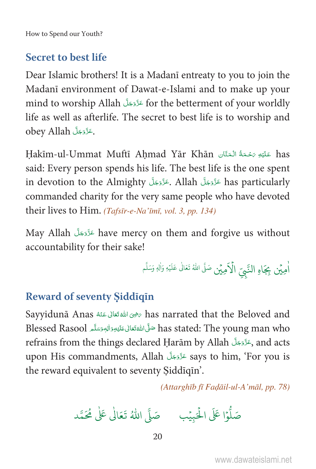#### **Secret to best life**

Dear Islamic brothers! It is a Madani entreaty to you to join the Madanī environment of Dawat-e-Islami and to make up your mind to worship Allah عَزَّدَجَلَّ for the betterment of your worldly life as well as afterlife. The secret to best life is to worship and obey Allah دَّرَّدَجَلَّ

Hakīm-ul-Ummat Muftī Ahmad Yār Khān عَلَيْهِ مَحْمَةُ الْمَثَّانِ Hakīm-ul-Ummat Muftī Ahmad Yār Khān said: Every person spends his life. The best life is the one spent in devotion to the Almighty حَزَّدَجَلَّ Allah جَنَّرَوجَلَّ has particularly commanded charity for the very same people who have devoted their lives to Him. (Tafsīr-e-Na'īmī, vol. 3, pp. 134)

May Allah عَزَّدَجَلَّ have mercy on them and forgive us without accountability for their sake!

أُمِيِّن بِجَاهِ النَّبِيّ الْأَمِيِّن صَلَّ اللهُ تَعَالٰى عَلَيْهِ وَأَلِهِ وَسَلَّم

#### **Reward of seventy Siddiqin**

Sayyidunā Anas رَضِى الله تَعَالى عَنْهُ Aas narrated that the Beloved and Blessed Rasool مَلَّى اللهُ تَعَالى عَلَيْهِ وَالِهِ وَسَلَّمِ Blessed Rasool مَنَّى اللهُ تَعَالى عَلَيْهِ وَالْهِ refrains from the things declared Harām by Allah وعَدَّدَجَلَّ and acts upon His commandments, Allah عَزَّدَجَلَّ says to him, 'For you is the reward equivalent to seventy Siddiqin'.

(Attarghīb fī Faḍāil-ul-A'māl, pp. 78)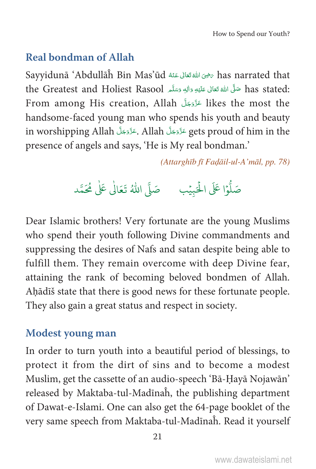#### **Real bondman of Allah**

has narrated that رَضِىَ اللَّهُ تَعَالَى عَنْهُ \$اللهُ Sayyidunā ʿAbdullāĥ Bin Mas'ūd thas stated: صَلَّى اللَّهُ تَعَالَى عَلَيْهِ وَالِهِ وَسَلَّمِ the Greatest and Holiest Rasool From among His creation, Allah عَزَّدَ الْعَلَمُ likes the most the handsome-faced young man who spends his youth and beauty in worshipping Allah حَزَّدَجَلَّ Allah جَنَّدَ gets proud of him in the presence of angels and says, 'He is My real bondman.'

(Attarghīb fī Fadāil-ul-A'māl, pp. 78)

Dear Islamic brothers! Very fortunate are the young Muslims who spend their youth following Divine commandments and suppressing the desires of Nafs and satan despite being able to fulfill them. They remain overcome with deep Divine fear, attaining the rank of becoming beloved bondmen of Allah. Ahādīš state that there is good news for these fortunate people. They also gain a great status and respect in society.

#### **Modest young man**

In order to turn youth into a beautiful period of blessings, to protect it from the dirt of sins and to become a modest Muslim, get the cassette of an audio-speech 'Bā-Ḥayā Nojawān' released by Maktaba-tul-Madinah, the publishing department of Dawat-e-Islami. One can also get the 64-page booklet of the very same speech from Maktaba-tul-Madīnah. Read it yourself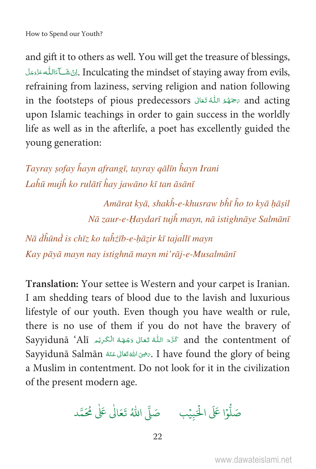and gift it to others as well. You will get the treasure of blessings, . اِنْ شَكَآءَاللَّه عَزَّوَجَلَ Inculcating the mindset of staying away from evils, refraining from laziness, serving religion and nation following in the footsteps of pious predecessors مَتَهَمَّ اللَّهُ تَعَالَى sand acting upon Islamic teachings in order to gain success in the worldly life as well as in the afterlife, a poet has excellently guided the young generation:

Tayray şofay hayn afrangī, tayray qālīn hayn Irani Laĥū muiĥ ko rulātī ĥay jawāno kī tan āsānī

> Amārat kyā, shakh-e-khusraw bhī ho to kyā hāşil Nā zaur-e-Haydarī tujĥ mayn, nā istighnāye Salmānī

Nā dhūnd is chīz ko tahzīb-e-hāzir kī tajallī mayn Kay pāyā mayn nay istighnā mayn mi'rāj-e-Musalmānī

Translation: Your settee is Western and your carpet is Iranian. I am shedding tears of blood due to the lavish and luxurious lifestyle of our youth. Even though you have wealth or rule, there is no use of them if you do not have the bravery of Sayyidunā 'Alī كَرَّمَ اللَّهُ تَعَالَى وَجْهَهُ الْكَرِيْمِ Sayyidunā 'Alī Sayyidunā Salmān رَضِى اللهَ تَعَالَى عَنْهُ Sayyidunā Salmān رَضِيَ اللهَ تَعَالَى عَنْهُ a Muslim in contentment. Do not look for it in the civilization of the present modern age.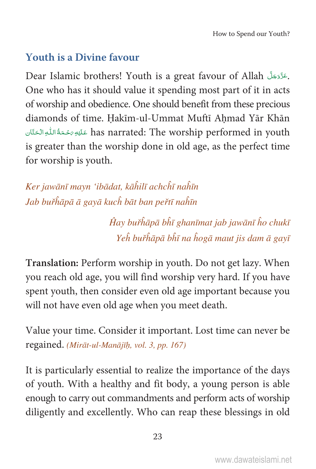#### **Youth is a Divine favour**

Dear Islamic brothers! Youth is a great favour of Allah بَقَرَّدَ بَلَّ Dear Islamic brothers! Youth is a great favour of Allah. One who has it should value it spending most part of it in acts of worship and obedience. One should benefit from these precious diamonds of time. Hakīm-ul-Ummat Muftī Ahmad Yār Khān has narrated: The worship performed in youth عَلَيْهِ مَحْمَةُ اللَّهِ الْحَقَّان is greater than the worship done in old age, as the perfect time for worship is youth.

Ker jawānī mayn 'ibādat, kāĥilī achcĥī naĥīn Jab buřĥāpā ā gayā kuch bāt ban peřtī naĥīn

> Ĥay buřĥāpā bĥī ghanīmat jab jawānī ĥo chukī Yeh buřhāpā bhī na hogā maut jis dam ā gayī

Translation: Perform worship in youth. Do not get lazy. When you reach old age, you will find worship very hard. If you have spent youth, then consider even old age important because you will not have even old age when you meet death.

Value your time. Consider it important. Lost time can never be regained. (Mirāt-ul-Manājīḥ, vol. 3, pp. 167)

It is particularly essential to realize the importance of the days of youth. With a healthy and fit body, a young person is able enough to carry out commandments and perform acts of worship diligently and excellently. Who can reap these blessings in old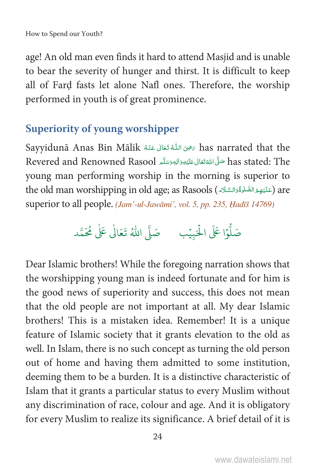age! An old man even finds it hard to attend Masjid and is unable to bear the severity of hunger and thirst. It is difficult to keep all of Fard fasts let alone Nafl ones. Therefore, the worship performed in youth is of great prominence.

#### **Superiority of young worshipper**

Sayyidunā Anas Bin Mālik رَضِىَ اللَّهُ تَعَالَى عَنْهُ Kas narrated that the has stated: The صَلَّى اللَّهَ تَعَالِى عَلَيْهِ وَالْبَهِ وَسَلَّمِ Revered and Renowned Rasool young man performing worship in the morning is superior to the old man worshipping in old age; as Rasools (عَلَيْهِمُ الصَّلْوَةُوَالسَّلَامَ) are superior to all people. (Jam'-ul-Jawāmi', vol. 5, pp. 235, Hadīš 14769)

Dear Islamic brothers! While the foregoing narration shows that the worshipping young man is indeed fortunate and for him is the good news of superiority and success, this does not mean that the old people are not important at all. My dear Islamic brothers! This is a mistaken idea. Remember! It is a unique feature of Islamic society that it grants elevation to the old as well. In Islam, there is no such concept as turning the old person out of home and having them admitted to some institution, deeming them to be a burden. It is a distinctive characteristic of Islam that it grants a particular status to every Muslim without any discrimination of race, colour and age. And it is obligatory for every Muslim to realize its significance. A brief detail of it is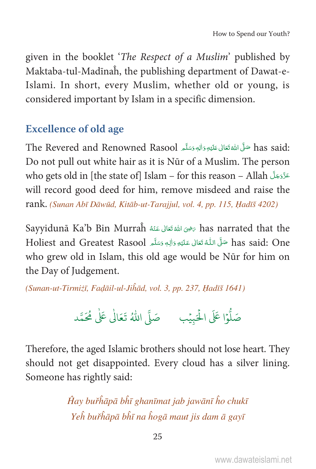given in the booklet 'The Respect of a Muslim' published by Maktaba-tul-Madīnah, the publishing department of Dawat-e-Islami. In short, every Muslim, whether old or young, is considered important by Islam in a specific dimension.

#### **Excellence of old age**

:has said صَلَّى اللَّهُ تَعَالَى عَلَيْهِ وَالِهِ وَسَلَّعِ The Revered and Renowned Rasool Do not pull out white hair as it is Nūr of a Muslim. The person who gets old in [the state of] Islam – for this reason – Allah will record good deed for him, remove misdeed and raise the rank. (Sunan Abī Dāwūd, Kitāb-ut-Tarajjul, vol. 4, pp. 115, Hadīš 4202)

Sayyidunā Ka'b Bin Murraĥ مَضِىَ اللهُ تَعَالِ عَنْهُ Aas narrated that the has said: One حَلَّى اللَّهُ تَعَالَى عَلَيْهِ وَالِهٖ وَسَلَّمِ Holiest and Greatest Rasool who grew old in Islam, this old age would be Nūr for him on the Day of Judgement.

(Sunan-ut-Tirmizī, Fadāil-ul-Jihād, vol. 3, pp. 237, Hadīš 1641)

Therefore, the aged Islamic brothers should not lose heart. They should not get disappointed. Every cloud has a silver lining. Someone has rightly said:

> Ĥay buřĥāpā bĥī ghanīmat jab jawānī ĥo chukī Yeh buřhāpā bhī na hogā maut jis dam ā gayī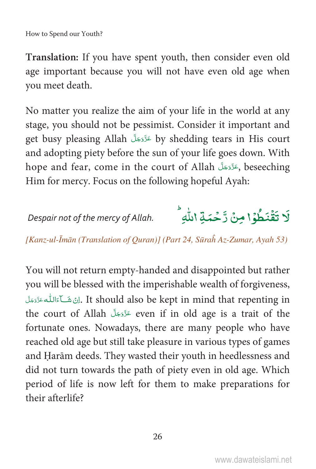**Translation:** If you have spent youth, then consider even old age important because you will not have even old age when you meet death.

No matter you realize the aim of your life in the world at any stage, you should not be pessimist. Consider it important and get busy pleasing Allah حَدَّدَجَلَ by shedding tears in His court and adopting piety before the sun of your life goes down. With hope and fear, come in the court of Allah جَنَّوَجَلَّ beseeching, Him for mercy. Focus on the following hopeful Ayah:

Despair not of the mercy of Allah.

Á لَا تَقْنَطُوُا مِنْ زَحْمَةِ اللّٰهِ Â Ð Ä

[Kanz-ul-Īmān (Translation of Quran)] (Part 24, Sūraĥ Az-Zumar, Ayah 53)

You will not return empty-handed and disappointed but rather you will be blessed with the imperishable wealth of forgiveness, لِنْ شَكَاءَاللَّه عَزَّدَمَلَ. It should also be kept in mind that repenting in Ä the court of Allah مَدَّدَّجَلَّ even if in old age is a trait of the fortunate ones. Nowadays, there are many people who have reached old age but still take pleasure in various types of games and Harām deeds. They wasted their youth in heedlessness and did not turn towards the path of piety even in old age. Which period of life is now left for them to make preparations for their afterlife?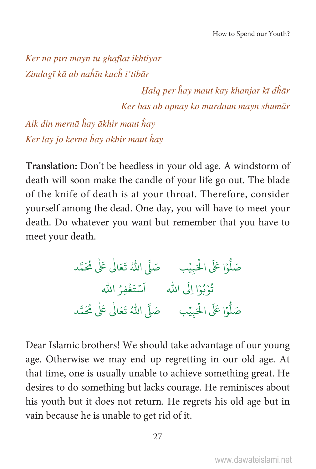Ker na pīrī mayn tū ghaflat ikhtiyār Zindagī kā ab naĥīn kuch i'tibār

> Halq per ĥay maut kay khanjar kī dĥār Ker bas ab apnay ko murdaun mayn shumār

Aik din mernā hay ākhir maut hay Ker lay jo kernā ĥay ākhir maut ĥay

Translation: Don't be heedless in your old age. A windstorm of death will soon make the candle of your life go out. The blade of the knife of death is at your throat. Therefore, consider yourself among the dead. One day, you will have to meet your death. Do whatever you want but remember that you have to meet your death.

> صَلُّوْا عَلَى الْحَبِيْبِ صَلَّى اللَّهُ تَعَالَىٰ عَلَىٰ مُحَمَّد قُوْبُوْا إِلَى اللهِ مَسْتَغْفِرُ الله

Dear Islamic brothers! We should take advantage of our young age. Otherwise we may end up regretting in our old age. At that time, one is usually unable to achieve something great. He desires to do something but lacks courage. He reminisces about his youth but it does not return. He regrets his old age but in vain because he is unable to get rid of it.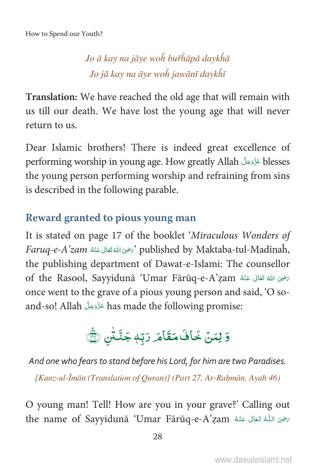### Jo ā kay na jāye woh buřhāpā daykhā Jo jā kay na āye woh jawānī daykhī

Translation: We have reached the old age that will remain with us till our death. We have lost the young age that will never return to us.

Dear Islamic brothers! There is indeed great excellence of performing worship in young age. How greatly Allah تَدَّدَجَلَ blesses the young person performing worship and refraining from sins is described in the following parable.

#### Reward granted to pious young man

It is stated on page 17 of the booklet 'Miraculous Wonders of Faruq-e-A'zam الله تعالى عَنْهُ  $\gamma$  published by Maktaba-tul-Madīnaĥ, the publishing department of Dawat-e-Islami: The counsellor of the Rasool, Sayyidunā 'Umar Fārūq-e-A'zam الله تَعَالى عَنْهُ once went to the grave of a pious young person and said, 'O soand-so! Allah عَزَّدَ has made the following promise:

# وَ لِمَنۡ خَافَ مَقَامَ رَبِّهٖ جَنَّتَٰن ﴾

And one who fears to stand before his Lord, for him are two Paradises. [Kanz-ul-Īmān (Translation of Quran)] (Part 27, Ar-Rahmān, Ayah 46)

O young man! Tell! How are you in your grave?' Calling out the name of Sayyidunā 'Umar Fārūq-e-A'zam اللَّهُ تَعَالَى عَنْهُ name of Sayyidunā 'Umar Fārūq-e-A'zam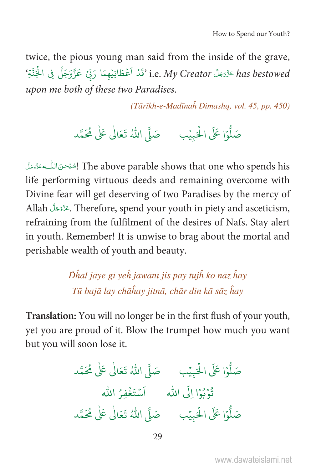twice, the pious young man said from the inside of the grave, has bestowed عَزَّدَجَلَّ i.e. My Creator 'قَدْ أَعْطَانِيْهِمَا رَبِّيْ عَزَّوَجَلَّ فِي الْجَنَّةِ ' upon me both of these two Paradises.

(Tārīkh-e-Madīnaĥ Dimashq, vol. 45, pp. 450)

صَلُّوْا عَلَى الْحَبِيْبِ مَ صَلَّى اللَّهُ تَعَالٰى عَلٰى مُحَمَّد

The above parable shows that one who spends his إشبُحْنَ اللُّــه عَزَّدَجَلَ life performing virtuous deeds and remaining overcome with Divine fear will get deserving of two Paradises by the mercy of Allah جَزَّدَجَلَّ Therefore, spend your youth in piety and asceticism, refraining from the fulfilment of the desires of Nafs. Stay alert in youth. Remember! It is unwise to brag about the mortal and perishable wealth of youth and beauty.

> Dĥal jāye gī yeh jawānī jis pay tujĥ ko nāz ĥay Tū bajā lay chāĥay jitnā, chār din kā sāz ĥay

Translation: You will no longer be in the first flush of your youth, yet you are proud of it. Blow the trumpet how much you want but you will soon lose it.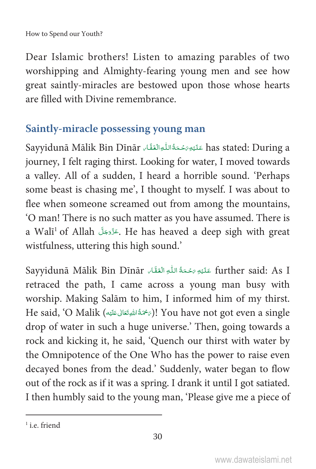Dear Islamic brothers! Listen to amazing parables of two worshipping and Almighty-fearing young men and see how great saintly-miracles are bestowed upon those whose hearts are filled with Divine remembrance.

#### **Saintly-miracle possessing young man**

Sayyidunā Mālik Bin Dīnār عَلَيْوَمَحْمَةُاللّٰهِ الْعَقَّاء has stated: During a journey, I felt raging thirst. Looking for water, I moved towards a valley. All of a sudden, I heard a horrible sound. 'Perhaps some beast is chasing me', I thought to myself. I was about to flee when someone screamed out from among the mountains, 'O man! There is no such matter as you have assumed. There is a Walī $^1$  of Allah جَزَّدَجَلَ. He has heaved a deep sigh with great wistfulness, uttering this high sound.'

Sayyidunā Mālik Bin Dīnār كَلَيْهِ رَحْمَةُ اللّٰهِ الْعَقَاء further said: As I retraced the path, I came across a young man busy with worship. Making Salām to him, I informed him of my thirst. He said, 'O Malik (رَحْمَةُاللهِقَعَالِ عَلَيْهِ)! You have not got even a single È ȦÄ Ä drop of water in such a huge universe.' Then, going towards a rock and kicking it, he said, 'Quench our thirst with water by the Omnipotence of the One Who has the power to raise even decayed bones from the dead.' Suddenly, water began to flow out of the rock as if it was a spring. I drank it until I got satiated. I then humbly said to the young man, 'Please give me a piece of

<sup>&</sup>lt;sup>1</sup> i.e. friend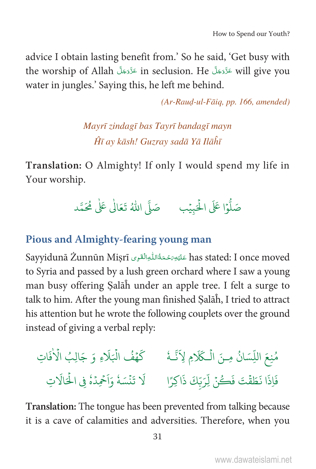advice I obtain lasting benefit from.' So he said, 'Get busy with the worship of Allah عَزَّدَجَلَّ in seclusion. He عَزَّدَجَلَّ will give you water in jungles.' Saving this, he left me behind.

 $(Ar$ -Raud-ul-Fāig, pp. 166, amended)

Mayrī zindagī bas Tayrī bandagī mayn Hī ay kāsh! Guzray sadā Yā Ilāĥī

Translation: O Almighty! If only I would spend my life in Your worship.



#### Pious and Almighty-fearing young man

Sayyidunā Żunnūn Mişrī عَلَيْهِ رَحْمَةُ اللُّهِ الْقَوِى Sayyidunā Żunnūn Mişrī to Syria and passed by a lush green orchard where I saw a young man busy offering Salāh under an apple tree. I felt a surge to talk to him. After the young man finished Salah, I tried to attract his attention but he wrote the following couplets over the ground instead of giving a verbal reply:



Translation: The tongue has been prevented from talking because it is a cave of calamities and adversities. Therefore, when you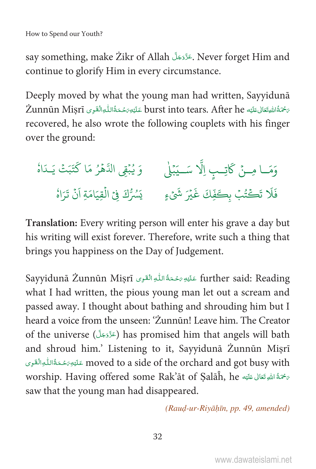say something, make Zikr of Allah حَدَّدَ بَلَّ Never forget Him and continue to glorify Him in every circumstance.

Deeply moved by what the young man had written, Sayyiduna 2<burst into tears. After he عَلَيْهِ burst into tears. After he عَلَيْهِ تَحْمَةُ اللَّهِ الْقَوِى Żunnūn Misrī recovered, he also wrote the following couplets with his finger over the ground:



Translation: Every writing person will enter his grave a day but his writing will exist forever. Therefore, write such a thing that brings you happiness on the Day of Judgement.

Sayyidunā Żunnūn Misrī عَلَيُهِ رَحْمَةُ اللَّهِ الْقَوِي Sayyidunā Żunnūn Misrī what I had written, the pious young man let out a scream and passed away. I thought about bathing and shrouding him but I heard a voice from the unseen: 'Żunnūn! Leave him. The Creator of the universe (﴿ عَزَّدَجَلَ) has promised him that angels will bath and shroud him.' Listening to it, Sayyidunā Żunnūn Mişrī moved to a side of the orchard and got busy with عَلَيْهِ رَحْمَةُاللُّهِ الْقَوِى worship. Having offered some Rak'āt of Salāĥ, he مَخْمَةُ اللَّهِ تَعَالَى عَلَيْهِ saw that the young man had disappeared.

(Raud-ur-Riyāḥīn, pp. 49, amended)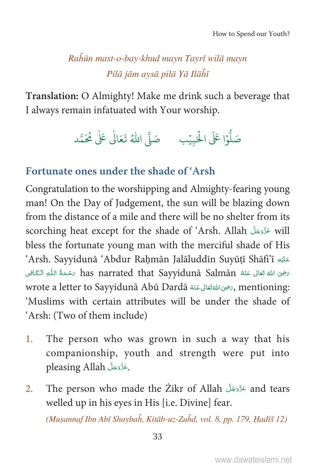#### Rahūn mast-o-bay-khud mayn Tayrī wilā mayn Pilā jām avsā pilā Yā Ilāĥī

Translation: O Almighty! Make me drink such a beverage that I always remain infatuated with Your worship.

#### Fortunate ones under the shade of 'Arsh

Congratulation to the worshipping and Almighty-fearing young man! On the Day of Judgement, the sun will be blazing down from the distance of a mile and there will be no shelter from its scorching heat except for the shade of 'Arsh. Allah عَزَّدَجَلَّ will bless the fortunate young man with the merciful shade of His 'Arsh. Sayyidunā 'Abdur Rahmān Jalāluddīn Suyūtī Shāfi'ī يَخِيَ اللَّهِ تَعَالَى عَنْهُ has narrated that Sayyidunā Salmān مَحْمَةُ اللَّهِ الْكَافِي wrote a letter to Sayyidunā Abū Dardā المَصْحَمَّة وَ wrote a letter to Sayyidunā Abū Dardā 'Muslims with certain attributes will be under the shade of 'Arsh: (Two of them include)

- The person who was grown in such a way that his 1. companionship, youth and strength were put into pleasing Allah بَحَرَّدَ بَلَ
- and tears عَزَّدَ and tears and tears and tears  $2.$ welled up in his eyes in His [i.e. Divine] fear.

(Muşannaf Ibn Abī Shaybah, Kitāb-uz-Zuhd, vol. 8, pp. 179, Hadīš 12)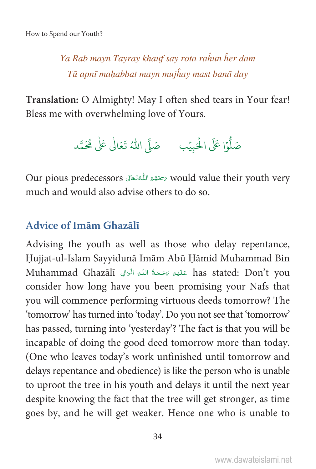Yā Rab mayn Tayray khauf say rotā raĥūn ĥer dam Tū apnī mahabbat mayn mujĥay mast banā day

Translation: O Almighty! May I often shed tears in Your fear! Bless me with overwhelming love of Yours.

Our pious predecessors رَحَمُهُ اللَّهُ تَعَالَى would value their youth very much and would also advise others to do so.

#### Advice of Imam Ghazali

Advising the youth as well as those who delay repentance, Hujjat-ul-Islam Sayyidunā Imām Abū Hāmid Muhammad Bin Muhammad Ghazālī عَلَيْهِ مَحْمَةُ اللَّهِ الْوَالِي Muhammad Ghazālī consider how long have you been promising your Nafs that you will commence performing virtuous deeds tomorrow? The 'tomorrow' has turned into 'today'. Do you not see that 'tomorrow' has passed, turning into 'yesterday'? The fact is that you will be incapable of doing the good deed tomorrow more than today. (One who leaves today's work unfinished until tomorrow and delays repentance and obedience) is like the person who is unable to uproot the tree in his youth and delays it until the next year despite knowing the fact that the tree will get stronger, as time goes by, and he will get weaker. Hence one who is unable to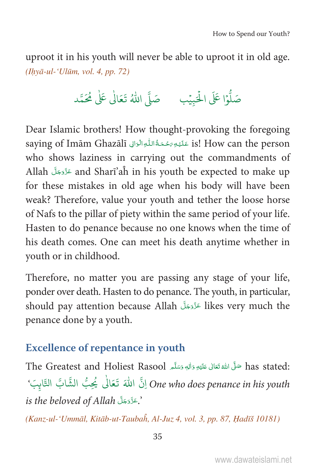uproot it in his youth will never be able to uproot it in old age.  $(Ilv\bar{a}-ul-'Ul\bar{u}m, vol. 4, pp. 72)$ 

صَلُّوْا عَلَى الْحَبِيْبِ مَ صَلَّى اللَّهُ تَعَالٰى عَلٰى مُحَمَّد

Dear Islamic brothers! How thought-provoking the foregoing saying of Imām Ghazālī عَلَيْهِ رَحْمَةُ اللُّهِ الْوَالِي Saying of Imām Ghazālī who shows laziness in carrying out the commandments of Allah عَزَّدَجَلَّ and Sharī'aĥ in his youth be expected to make up for these mistakes in old age when his body will have been weak? Therefore, value your youth and tether the loose horse of Nafs to the pillar of piety within the same period of your life. Hasten to do penance because no one knows when the time of his death comes. One can meet his death anytime whether in youth or in childhood.

Therefore, no matter you are passing any stage of your life, ponder over death. Hasten to do penance. The youth, in particular, should pay attention because Allah عَزَّدَ likes very much the penance done by a youth.

#### **Excellence of repentance in youth**

The Greatest and Holiest Rasool صَلَّى اللهُ تَعَالَى عَلَيْهِ وَاللهِ وَسَلَّم The Greatest and Holiest Rasool One who does penance in his youth إِنَّ اللَّهَ تَعَالَى يُحِبُّ الشَّابَّ التَّابِبَ' is the beloved of Allah .

(Kanz-ul-'Ummāl, Kitāb-ut-Taubaĥ, Al-Juz 4, vol. 3, pp. 87, Hadīš 10181)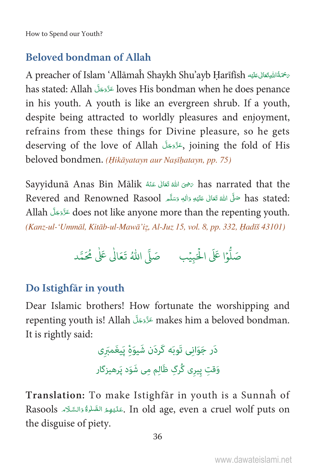#### **Beloved bondman of Allah**

بِحْمَةُ اللَّهِ تَعَالَى عَلَيْهِ A preacher of Islam 'Allāmaĥ Shaykh Shu'ayb Harīfīsh has stated: Allah مَرَّدَ loves His bondman when he does penance in his youth. A youth is like an evergreen shrub. If a youth, despite being attracted to worldly pleasures and enjoyment, refrains from these things for Divine pleasure, so he gets deserving of the love of Allah (مَزْدَجَلَ joining the fold of His beloved bondmen. (Hikāyatayn aur Nașīḥatayn, pp. 75)

Sayyidunā Anas Bin Mālik تَحَالَى عَنْهُ Eas narrated that the :has stated صَلَّى الله تَعَالى عَلَيْهِ وَالِهِ وَسَلَّمِ Revered and Renowned Rasool Allah غَزَوَجَلَ does not like anyone more than the repenting youth. (Kanz-ul-'Ummāl, Kitāb-ul-Mawā'iz, Al-Juz 15, vol. 8, pp. 332, Hadīš 43101)

#### Do Istighfär in youth

Dear Islamic brothers! How fortunate the worshipping and repenting youth is! Allah عَزَّدَ makes him a beloved bondman. It is rightly said:

> دَر جَوَاني تَوبَه كَرِدَن شَيوَهٔ يَيغَمبَري وَقتِ پِیری گُرگِ ظَالِم مِی شَوَد پَرهیزگار

Translation: To make Istighfar in youth is a Sunnah of Rasools الصَّلْوَةُ وَالسَّلَاءِ In old age, even a cruel wolf puts on the disguise of piety.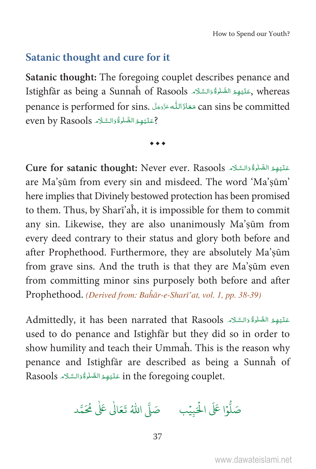#### Satanic thought and cure for it

Satanic thought: The foregoing couplet describes penance and Istighfār as being a Sunnaĥ of Rasools حَلَيْهِمُ الصَّلْوَةُ وَالسَّلَامَ Istighfār as being a Sunnaĥ of Rasools penance is performed for sins. مَعَاذَاللَّه عَزَّدَ اللَّه عَقَدَانَ ( can sins be committed ? عَلَيْهِمُ الصَّلْوَةُ وَالسَّلَامِ even by Rasools

 $\bullet\bullet\bullet$ 

Cure for satanic thought: Never ever. Rasools عَلَيْهِمُ الصَّلْوَةُ وَالسَّلَامَ are Ma'sūm from every sin and misdeed. The word 'Ma'sūm' here implies that Divinely bestowed protection has been promised to them. Thus, by Shari'ah, it is impossible for them to commit any sin. Likewise, they are also unanimously Ma'sūm from every deed contrary to their status and glory both before and after Prophethood. Furthermore, they are absolutely Ma'sūm from grave sins. And the truth is that they are Ma'sūm even from committing minor sins purposely both before and after Prophethood. (Derived from: Bahār-e-Sharī'at, vol. 1, pp. 38-39)

Admittedly, it has been narrated that Rasools عَلَيْهِمُ الصَّلْوَةُ وَالسَّلَام used to do penance and Istighfar but they did so in order to show humility and teach their Ummah. This is the reason why penance and Istighfar are described as being a Sunnah of Rasools عَلَيْهِمُ الصَّلْوَةُ وَالسَّلَامِ Rasools

صَلُّوْا عَلَى الْحَبِيْبِ مَصَلَّى اللَّهُ تَعَالَٰى عَلَٰى مُحَمَّد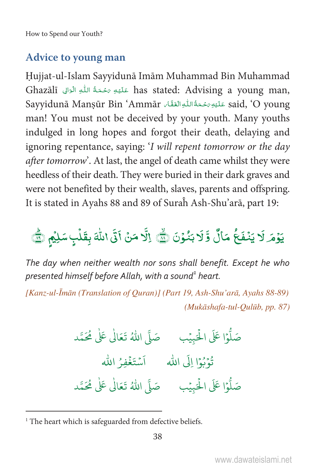#### **Advice to young man**

Hujjat-ul-Islam Sayyidunā Imām Muhammad Bin Muhammad Ghazālī عَلَيْهِ مَحْمَةُ اللَّهِ الْوَالِي Ghazālī عَلَيْهِ مَحْمَةُ اللَّهِ الْوَالِي آ Said, 'O young عَلَيْهِ رَحْمَةُ اللَّهِ الْغَفَّاءِ "Sayyidunā Mansūr Bin 'Ammār man! You must not be deceived by your youth. Many youths indulged in long hopes and forgot their death, delaying and ignoring repentance, saying: 'I will repent tomorrow or the day *after tomorrow*'. At last, the angel of death came whilst they were heedless of their death. They were buried in their dark graves and were not benefited by their wealth, slaves, parents and offspring. It is stated in Ayahs 88 and 89 of Surah Ash-Shu'arā, part 19:

# يَوْمَر لَا يَنْفَعُ مَالٌ وَّ لَا بَنُوْنَ رَبَّهِ ۚ إِلَّا مَنْ أَتَى اللَّهَ بِقَلْبِ سَلِيْمٍ رَبَّهِج

The day when neither wealth nor sons shall benefit. Except he who presented himself before Allah, with a sound<sup>1</sup> heart.

[Kanz-ul-Īmān (Translation of Quran)] (Part 19, Ash-Shu'arā, Ayahs 88-89) (Mukāshafa-tul-Qulūb, pp. 87)

> نُوْبُوْا إِلَى اللهِ مَسْتَغْفِرُ الله

<sup>&</sup>lt;sup>1</sup> The heart which is safeguarded from defective beliefs.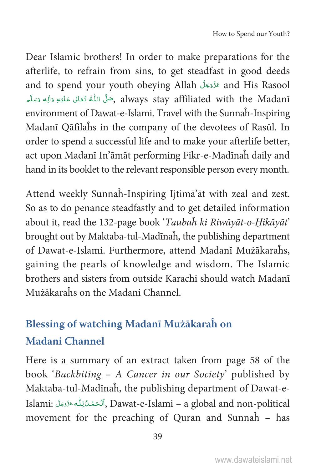Dear Islamic brothers! In order to make preparations for the afterlife, to refrain from sins, to get steadfast in good deeds and to spend your youth obeying Allah حَدَّدَجَلَّ and His Rasool جَلَّى اللَّهُ تَعَالَى عَلَيْهِ وَالِهٖ وَسَلَّمِ always stay affiliated with the Madanī Ç environment of Dawat-e-Islami. Travel with the Sunnaĥ-Inspiring Madanī Qāfilaĥs in the company of the devotees of Rasūl. In order to spend a successful life and to make your afterlife better, act upon Madanī In'āmāt performing Fikr-e-Madīnaĥ daily and hand in its booklet to the relevant responsible person every month.

Attend weekly Sunnaĥ-Inspiring Ijtimā'āt with zeal and zest. So as to do penance steadfastly and to get detailed information about it, read the 132-page book 'Taubah ki Riwāyāt-o-Ḥikāyāt' brought out by Maktaba-tul-Madīnaĥ, the publishing department of Dawat-e-Islami. Furthermore, attend Madanī Mużākaraĥs, gaining the pearls of knowledge and wisdom. The Islamic brothers and sisters from outside Karachi should watch Madanī Mużākaraĥs on the Madani Channel.

### **Blessing of watching Madanī Mużākaraĥ on Madani Channel**

Here is a summary of an extract taken from page 58 of the book 'Backbiting – A Cancer in our Society' published by Maktaba-tul-Madīnaĥ, the publishing department of Dawat-e-Islami: ٱلْحَمْدُلِلّٰه عَزَّدَجَلَّ ,Dawat-e-Islami – a global and non-political movement for the preaching of Quran and Sunnaĥ – has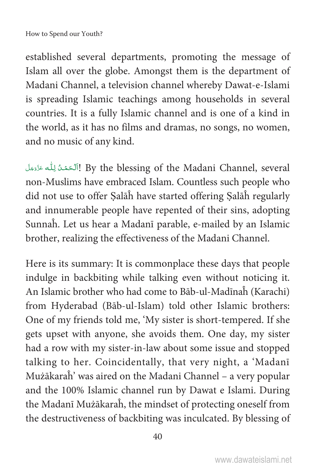established several departments, promoting the message of Islam all over the globe. Amongst them is the department of Madani Channel, a television channel whereby Dawat-e-Islami is spreading Islamic teachings among households in several countries. It is a fully Islamic channel and is one of a kind in the world, as it has no films and dramas, no songs, no women, and no music of any kind.

اَٱلْحَمْدُ لِلّٰه عَزَّدَمَلَ! By the blessing of the Madani Channel, several non-Muslims have embraced Islam. Countless such people who did not use to offer ৡalāĥ have started offering ৡalāĥ regularly and innumerable people have repented of their sins, adopting Sunnaĥ. Let us hear a Madanī parable, e-mailed by an Islamic brother, realizing the effectiveness of the Madani Channel.

Here is its summary: It is commonplace these days that people indulge in backbiting while talking even without noticing it. An Islamic brother who had come to Bāb-ul-Madīnaĥ (Karachi) from Hyderabad (Bāb-ul-Islam) told other Islamic brothers: One of my friends told me, 'My sister is short-tempered. If she gets upset with anyone, she avoids them. One day, my sister had a row with my sister-in-law about some issue and stopped talking to her. Coincidentally, that very night, a 'Madanī Mużākaraĥ' was aired on the Madani Channel – a very popular and the 100% Islamic channel run by Dawat e Islami. During the Madanī Mużākaraĥ, the mindset of protecting oneself from the destructiveness of backbiting was inculcated. By blessing of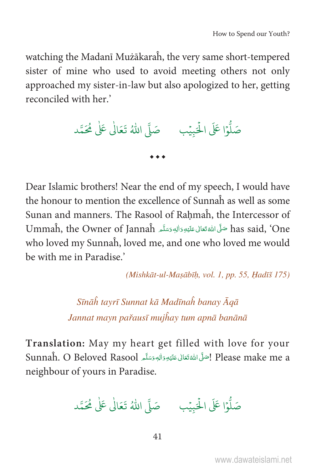watching the Madani Mużākaraĥ, the very same short-tempered sister of mine who used to avoid meeting others not only approached my sister-in-law but also apologized to her, getting reconciled with her.'

 $\ddotsc$ 

Dear Islamic brothers! Near the end of my speech, I would have the honour to mention the excellence of Sunnah as well as some Sunan and manners. The Rasool of Rahmah, the Intercessor of Ummah, the Owner of Jannah صَلَّى اللهُ تَعَالى عَلَيْهِ وَالِهِ وَسَلَّمِ Dimmah, the Owner of Jannah who loved my Sunnah, loved me, and one who loved me would be with me in Paradise.'

(Mishkāt-ul-Masābīh, vol. 1, pp. 55, Hadīš 175)

Sīnāĥ tayrī Sunnat kā Madīnaĥ banay Āgā Jannat mayn pařausī mujĥay tum apnā banānā

Translation: May my heart get filled with love for your Sunnaĥ. O Beloved Rasool إِصَلَى اللَّهُ تَعَالَى عَلَيْهِ وَالْهِ وَسَلَّعِ Sunnaĥ. O Beloved Rasool neighbour of yours in Paradise.

صَلُّوْا عَلَى الْحَبِيْبِ مَ صَلَّى اللَّهُ تَعَالٰى عَلٰى مُحَمَّد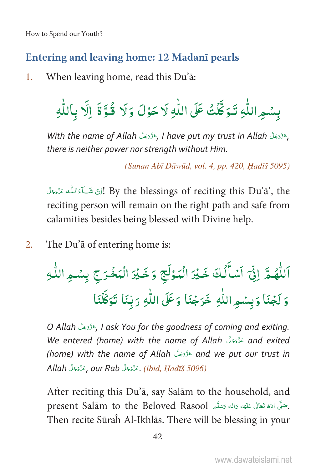#### Entering and leaving home: 12 Madani pearls

When leaving home, read this Du'ā:  $\mathbf{1}$ .

بِسُمِ اللَّهِ تَوَكَّكْ عَلَى اللَّهِ لَا حَوْلَ وَلَا قُوَّةَ إِلَّا بِاللَّهِ

With the name of Allah حَذَّدَ , I have put my trust in Allah حَذَّدَ . there is neither power nor strength without Him.

(Sunan Abī Dāwūd, vol. 4, pp. 420, Hadīš 5095)

By the blessings of reciting this Du'ā', the إِنْ شَبَاءَالِلَّه عَزَّدَ الْ reciting person will remain on the right path and safe from calamities besides being blessed with Divine help.

 $2.$ The Du'ā of entering home is:

O Allah وَذَوَجَلَ I ask You for the goodness of coming and exiting. We entered (home) with the name of Allah التَّذَيَّة and exited (home) with the name of Allah عَزَّدَ and we put our trust in Allah رَعَزَّدَجَلَّ our Rab جَدَّدَ (ibid, Hadīš 5096)

After reciting this Du'a, say Salam to the household, and present Salam to the Beloved Rasool بِصَلَّى اللَّهُ تَعَالَى عَلَيْهِ دَاللهِ وَسَلَّمَ Then recite Sūraĥ Al-Ikhlās. There will be blessing in your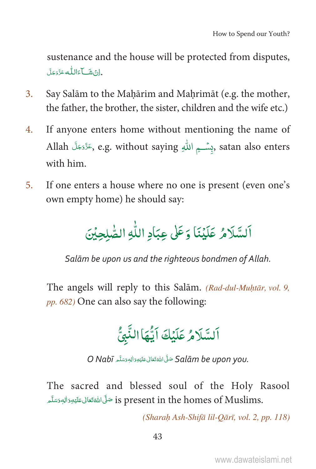sustenance and the house will be protected from disputes, . إِنْ شَبِّ اللَّهِ عَزَّدَجَلَ

- Say Salām to the Maḥārim and Maḥrimāt (e.g. the mother,  $3<sub>1</sub>$ the father, the brother, the sister, children and the wife etc.)
- If anyone enters home without mentioning the name of  $4.$ Allah كَتَرْوَجَلَّ e.g. without saying بِسْـــمِ اللهِ ِ atan also enters with him.
- If one enters a house where no one is present (even one's  $5<sub>1</sub>$ own empty home) he should say:

اَلسَّلَامُ عَلَيْنَا وَعَلَى عِبَادِ اللَّهِ الصَّلجِبْنَ

Salām be upon us and the righteous bondmen of Allah.

The angels will reply to this Salām. (Rad-dul-Muhtār, vol. 9, pp. 682) One can also say the following:



O Nabī حَلَّ اللَّهُ تَعَالَى عَلَيْهِ وَالِهٖ وَسَلَّهِ O Nabī

The sacred and blessed soul of the Holy Rasool .is present in the homes of Muslims صَلَّى اللَّهَ تَعَالَى عَلَيْهِ وَالِهِ وَسَلَّم

(Sharah Ash-Shifā lil-Oārī, vol. 2, pp. 118)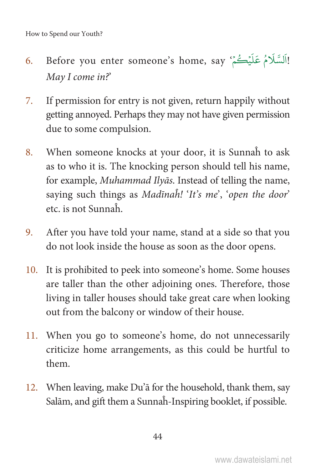- 6. Before you enter someone's home, say 'أَلَسَّلَامُ عَلَيْتُمْ ' h h May I come in?'
- 7. If permission for entry is not given, return happily without getting annoyed. Perhaps they may not have given permission due to some compulsion.
- 8. When someone knocks at your door, it is Sunnaĥ to ask as to who it is. The knocking person should tell his name, for example, Muhammad Ilyās. Instead of telling the name, saying such things as Madīnah! 'It's me', 'open the door' etc. is not Sunnaĥ.
- 9. After you have told your name, stand at a side so that you do not look inside the house as soon as the door opens.
- 10. It is prohibited to peek into someone's home. Some houses are taller than the other adjoining ones. Therefore, those living in taller houses should take great care when looking out from the balcony or window of their house.
- 11. When you go to someone's home, do not unnecessarily criticize home arrangements, as this could be hurtful to them.
- 12. When leaving, make Du'ā for the household, thank them, say Salām, and gift them a Sunnaĥ-Inspiring booklet, if possible.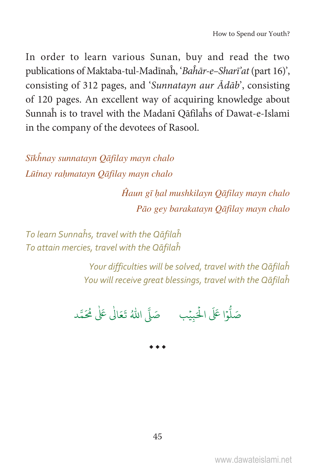In order to learn various Sunan, buy and read the two publications of Maktaba-tul-Madīnah, 'Bahār-e-Sharī' at (part 16)', consisting of 312 pages, and 'Sunnatayn aur Ādāb', consisting of 120 pages. An excellent way of acquiring knowledge about Sunnah is to travel with the Madanī Qāfilahs of Dawat-e-Islami in the company of the devotees of Rasool.

Sīkhnay sunnatayn Qāfilay mayn chalo Lūtnay rahmatayn Qāfilay mayn chalo

> Ĥaun gī hal mushkilayn Qāfilay mayn chalo Pāo gey barakatayn Qāfilay mayn chalo

To learn Sunnahs, travel with the Qāfilah To attain mercies, travel with the Qāfilah

> Your difficulties will be solved, travel with the Qāfilah You will receive great blessings, travel with the Qāfilah

صَلُّوْا عَلَى الْحَبِيْبِ صَلَّى اللَّهُ تَعَالَٰى عَلَٰى مُحَمَّد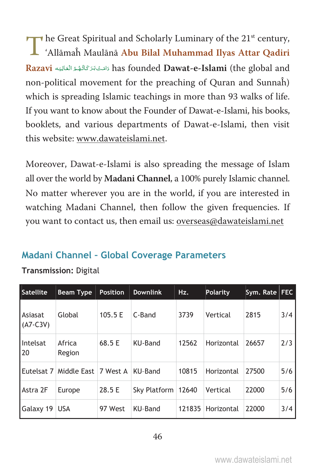The Great Spiritual and Scholarly Luminary of the 21<sup>st</sup> century,<br>'Allāmaĥ Maulānā Abu Bilal Muhammad Ilyas Attar Qadiri 'Allāmaĥ Maulānā **Abu Bilal Muhammad Ilyas Attar Qadiri**  Razavi أَٱصَ<sup>وَ</sup>كُمُ ٱلْعَالِيَهِ has founded **Dawat-e-Islami** (the global and Ä Ä non-political movement for the preaching of Quran and Sunnaĥ) which is spreading Islamic teachings in more than 93 walks of life. If you want to know about the Founder of Dawat-e-Islami, his books, booklets, and various departments of Dawat-e-Islami, then visit this website: www.dawateislami.net.

Moreover, Dawat-e-Islami is also spreading the message of Islam all over the world by **Madani Channel**, a 100% purely Islamic channel. No matter wherever you are in the world, if you are interested in watching Madani Channel, then follow the given frequencies. If you want to contact us, then email us: overseas@dawateislami.net

#### Madani Channel - Global Coverage Parameters

Transmission: Digital

| Satellite             | <b>Beam Type</b>     | <b>Position</b> | <b>Downlink</b>      | Hz.    | Polarity   | Sym. Rate   FEC |     |
|-----------------------|----------------------|-----------------|----------------------|--------|------------|-----------------|-----|
| Asiasat<br>$(A7-C3V)$ | Global               | 105.5 E         | C-Band               | 3739   | Vertical   | 2815            | 3/4 |
| Intelsat<br>20        | Africa<br>Region     | 68.5 E          | KU-Band              | 12562  | Horizontal | 26657           | 2/3 |
| Eutelsat 7            | Middle East 7 West A |                 | KU-Band              | 10815  | Horizontal | 27500           | 5/6 |
| Astra 2F              | Europe               | 28.5 E          | Sky Platform   12640 |        | Vertical   | 22000           | 5/6 |
| Galaxy 19             | <b>USA</b>           | 97 West         | KU-Band              | 121835 | Horizontal | 22000           | 3/4 |